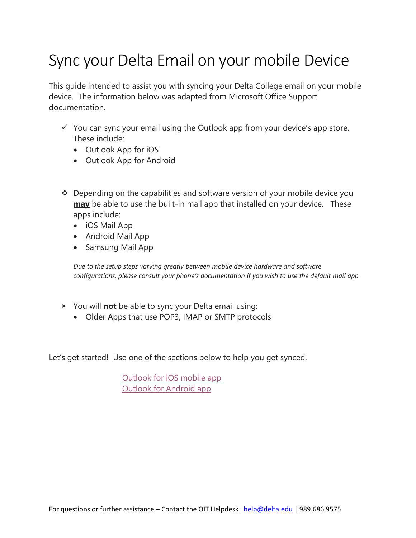# Sync your Delta Email on your mobile Device

This guide intended to assist you with syncing your Delta College email on your mobile device. The information below was adapted from Microsoft Office Support documentation.

- $\checkmark$  You can sync your email using the Outlook app from your device's app store. These include:
	- Outlook App for iOS
	- Outlook App for Android
- $\cdot$  Depending on the capabilities and software version of your mobile device you **may** be able to use the built-in mail app that installed on your device. These apps include:
	- iOS Mail App
	- Android Mail App
	- Samsung Mail App

*Due to the setup steps varying greatly between mobile device hardware and software configurations, please consult your phone's documentation if you wish to use the default mail app.*

- You will **not** be able to sync your Delta email using:
	- Older Apps that use POP3, IMAP or SMTP protocols

Let's get started! Use one of the sections below to help you get synced.

[Outlook for iOS mobile app](#page-1-0) [Outlook for Android app](#page-3-0)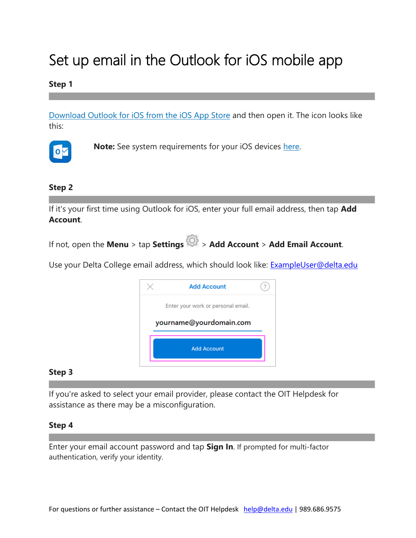# <span id="page-1-0"></span>Set up email in the Outlook for iOS mobile app

### **Step 1**

[Download Outlook for iOS from the iOS App Store](https://app.adjust.com/rg1l6s) and then open it. The icon looks like this:



 **Note:** See system requirements for your iOS devices [here.](https://products.office.com/en-us/office-system-requirements#coreui-contentrichblock-9r05pwg)

**Step 2**

If it's your first time using Outlook for iOS, enter your full email address, then tap **Add Account**.

If not, open the **Menu** > tap **Settings** > **Add Account** > **Add Email Account**.

Use your Delta College email address, which should look like: [ExampleUser@delta.edu](mailto:ExampleUser@delta.edu)



#### **Step 3**

If you're asked to select your email provider, please contact the OIT Helpdesk for assistance as there may be a misconfiguration.

#### **Step 4**

Enter your email account password and tap **Sign In**. If prompted for multi-factor authentication, verify your identity.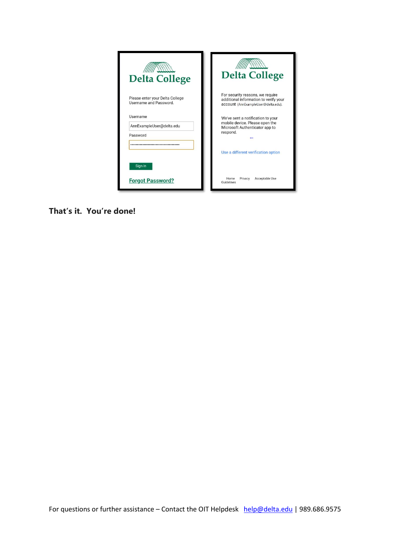| <b>Delta College</b>                                      | <b>Delta College</b>                                                                                             |
|-----------------------------------------------------------|------------------------------------------------------------------------------------------------------------------|
| Please enter your Delta College<br>Username and Password. | For security reasons, we require<br>additional information to verify your<br>account (AnnExampleUser@delta.edu). |
| Username<br>AnnExampleUser@delta.edu                      | We've sent a notification to your<br>mobile device. Please open the<br>Microsoft Authenticator app to            |
| Password                                                  | respond.                                                                                                         |
| Sign in                                                   | Use a different verification option                                                                              |
| <b>Forgot Password?</b>                                   | Home<br>Privacy<br>Acceptable Use<br>Guidelines                                                                  |

**That's it. You're done!**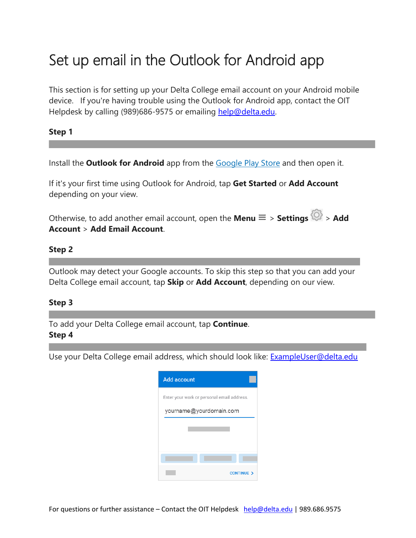## <span id="page-3-0"></span>Set up email in the Outlook for Android app

This section is for setting up your Delta College email account on your Android mobile device. If you're having trouble using the Outlook for Android app, contact the OIT Helpdesk by calling (989)686-9575 or emailing [help@delta.edu.](mailto:help@delta.edu)

#### **Step 1**

Install the **Outlook for Android** app from the [Google Play Store](https://app.adjust.com/xzzdub) and then open it.

If it's your first time using Outlook for Android, tap **Get Started** or **Add Account**  depending on your view.

Otherwise, to add another email account, open the **Menu**  $\equiv$  > **Settings**  $\circ$  > **Add Account** > **Add Email Account**.

#### **Step 2**

Outlook may detect your Google accounts. To skip this step so that you can add your Delta College email account, tap **Skip** or **Add Account**, depending on our view.

#### **Step 3**

To add your Delta College email account, tap **Continue**.

#### **Step 4**

Use your Delta College email address, which should look like: [ExampleUser@delta.edu](mailto:ExampleUser@delta.edu)